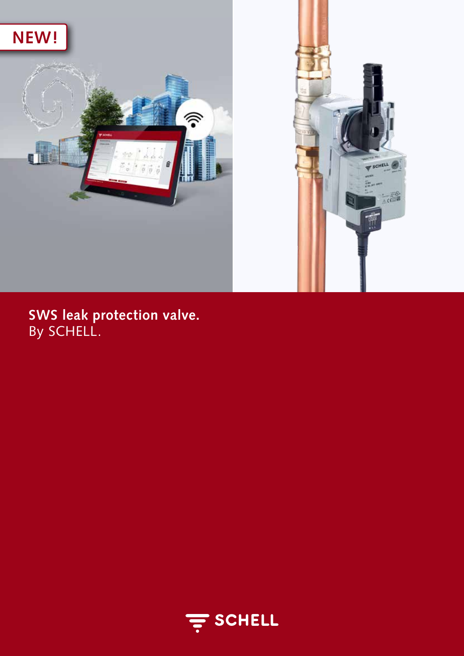



**SWS leak protection valve.**  By SCHELL.

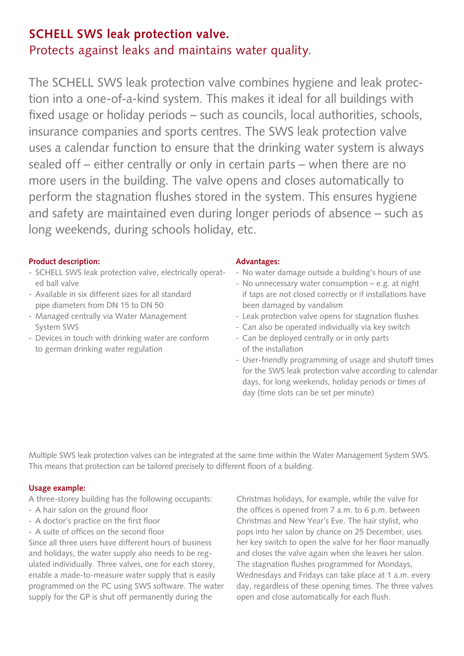# **SCHELL SWS leak protection valve.** Protects against leaks and maintains water quality.

The SCHELL SWS leak protection valve combines hygiene and leak protection into a one-of-a-kind system. This makes it ideal for all buildings with fixed usage or holiday periods – such as councils, local authorities, schools, insurance companies and sports centres. The SWS leak protection valve uses a calendar function to ensure that the drinking water system is always sealed off – either centrally or only in certain parts – when there are no more users in the building. The valve opens and closes automatically to perform the stagnation flushes stored in the system. This ensures hygiene and safety are maintained even during longer periods of absence – such as long weekends, during schools holiday, etc.

## **Product description:**

- SCHELL SWS leak protection valve, electrically operated ball valve
- Available in six different sizes for all standard pipe diameters from DN 15 to DN 50
- Managed centrally via Water Management System SWS
- Devices in touch with drinking water are conform to german drinking water regulation

## **Advantages:**

- No water damage outside a building's hours of use
- No unnecessary water consumption e.g. at night if taps are not closed correctly or if installations have been damaged by vandalism
- Leak protection valve opens for stagnation flushes
- Can also be operated individually via key switch
- Can be deployed centrally or in only parts of the installation
- User-friendly programming of usage and shutoff times for the SWS leak protection valve according to calendar days, for long weekends, holiday periods or times of day (time slots can be set per minute)

Multiple SWS leak protection valves can be integrated at the same time within the Water Management System SWS. This means that protection can be tailored precisely to different floors of a building.

#### **Usage example:**

A three-storey building has the following occupants:

- A hair salon on the ground floor
- A doctor's practice on the first floor
- A suite of offices on the second floor

Since all three users have different hours of business and holidays, the water supply also needs to be regulated individually. Three valves, one for each storey, enable a made-to-measure water supply that is easily programmed on the PC using SWS software. The water supply for the GP is shut off permanently during the

Christmas holidays, for example, while the valve for the offices is opened from 7 a.m. to 6 p.m. between Christmas and New Year's Eve. The hair stylist, who pops into her salon by chance on 25 December, uses her key switch to open the valve for her floor manually and closes the valve again when she leaves her salon. The stagnation flushes programmed for Mondays, Wednesdays and Fridays can take place at 1 a.m. every day, regardless of these opening times. The three valves open and close automatically for each flush.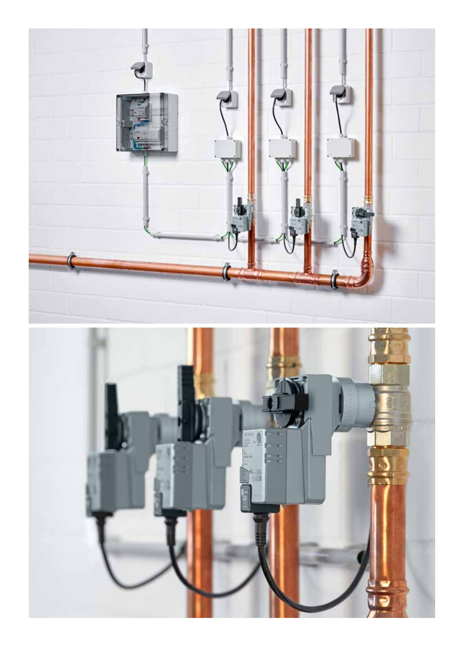